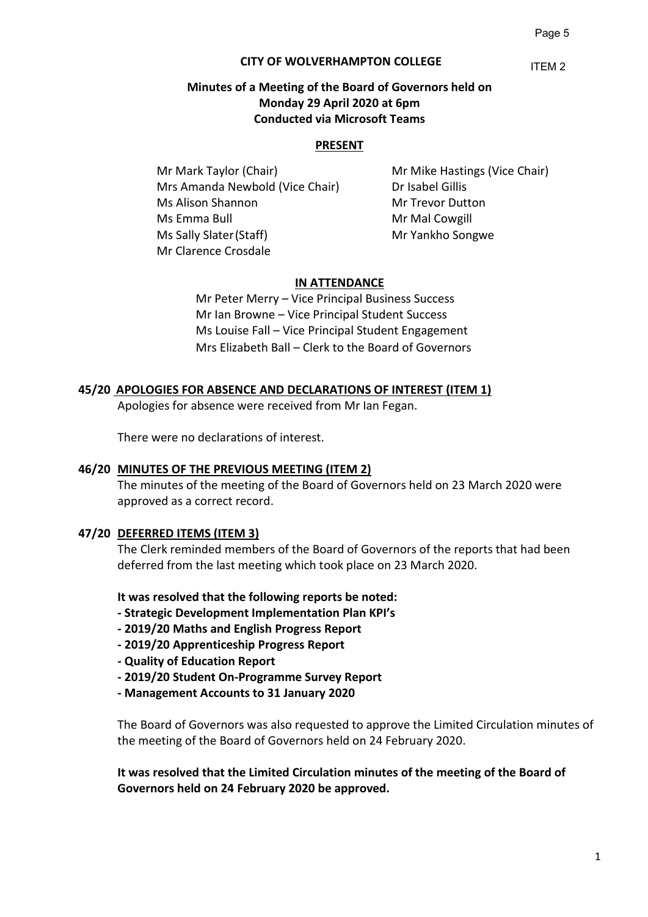## **CITY OF WOLVERHAMPTON COLLEGE**

ITEM 2

## **Minutes of a Meeting of the Board of Governors held on Monday 29 April 2020 at 6pm Conducted via Microsoft Teams**

#### **PRESENT**

Mr Mark Taylor (Chair) Mr Mike Hastings (Vice Chair) Mrs Amanda Newbold (Vice Chair) Dr Isabel Gillis Ms Alison Shannon Mr Trevor Dutton Ms Emma Bull Mr Mal Cowgill Ms Sally Slater (Staff) Mr Yankho Songwe Mr Clarence Crosdale

## **IN ATTENDANCE**

Mr Peter Merry – Vice Principal Business Success Mr Ian Browne – Vice Principal Student Success Ms Louise Fall – Vice Principal Student Engagement Mrs Elizabeth Ball – Clerk to the Board of Governors

#### **45/20 APOLOGIES FOR ABSENCE AND DECLARATIONS OF INTEREST (ITEM 1)**

Apologies for absence were received from Mr Ian Fegan.

There were no declarations of interest.

#### **46/20 MINUTES OF THE PREVIOUS MEETING (ITEM 2)**

The minutes of the meeting of the Board of Governors held on 23 March 2020 were approved as a correct record.

#### **47/20 DEFERRED ITEMS (ITEM 3)**

The Clerk reminded members of the Board of Governors of the reports that had been deferred from the last meeting which took place on 23 March 2020.

**It was resolved that the following reports be noted:**

- **- Strategic Development Implementation Plan KPI's**
- **- 2019/20 Maths and English Progress Report**
- **- 2019/20 Apprenticeship Progress Report**
- **- Quality of Education Report**
- **- 2019/20 Student On-Programme Survey Report**
- **- Management Accounts to 31 January 2020**

The Board of Governors was also requested to approve the Limited Circulation minutes of the meeting of the Board of Governors held on 24 February 2020.

**It was resolved that the Limited Circulation minutes of the meeting of the Board of Governors held on 24 February 2020 be approved.**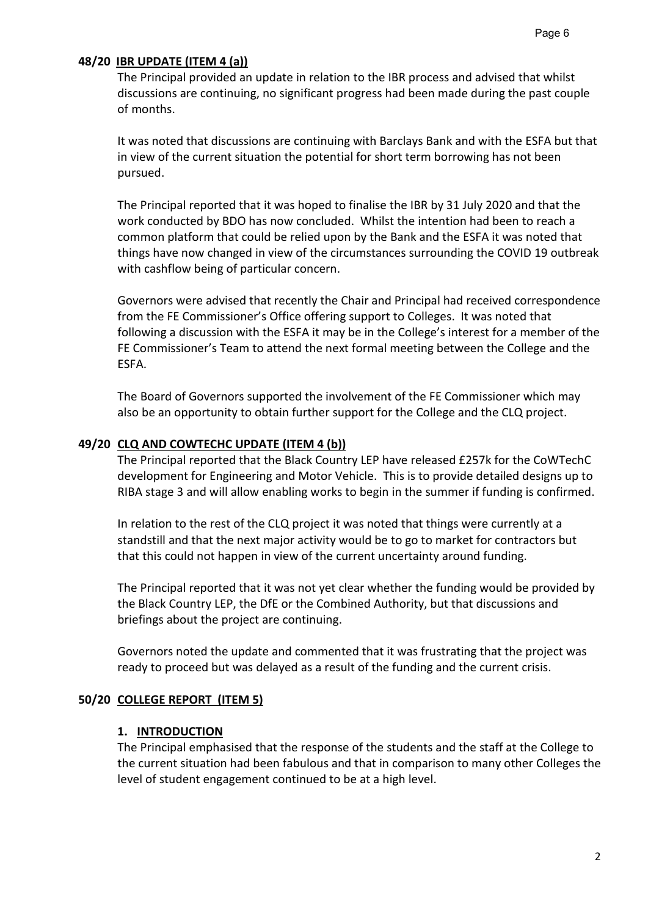# **48/20 IBR UPDATE (ITEM 4 (a))**

The Principal provided an update in relation to the IBR process and advised that whilst discussions are continuing, no significant progress had been made during the past couple of months.

It was noted that discussions are continuing with Barclays Bank and with the ESFA but that in view of the current situation the potential for short term borrowing has not been pursued.

The Principal reported that it was hoped to finalise the IBR by 31 July 2020 and that the work conducted by BDO has now concluded. Whilst the intention had been to reach a common platform that could be relied upon by the Bank and the ESFA it was noted that things have now changed in view of the circumstances surrounding the COVID 19 outbreak with cashflow being of particular concern.

Governors were advised that recently the Chair and Principal had received correspondence from the FE Commissioner's Office offering support to Colleges. It was noted that following a discussion with the ESFA it may be in the College's interest for a member of the FE Commissioner's Team to attend the next formal meeting between the College and the ESFA.

The Board of Governors supported the involvement of the FE Commissioner which may also be an opportunity to obtain further support for the College and the CLQ project.

# **49/20 CLQ AND COWTECHC UPDATE (ITEM 4 (b))**

The Principal reported that the Black Country LEP have released £257k for the CoWTechC development for Engineering and Motor Vehicle. This is to provide detailed designs up to RIBA stage 3 and will allow enabling works to begin in the summer if funding is confirmed.

In relation to the rest of the CLQ project it was noted that things were currently at a standstill and that the next major activity would be to go to market for contractors but that this could not happen in view of the current uncertainty around funding.

The Principal reported that it was not yet clear whether the funding would be provided by the Black Country LEP, the DfE or the Combined Authority, but that discussions and briefings about the project are continuing.

Governors noted the update and commented that it was frustrating that the project was ready to proceed but was delayed as a result of the funding and the current crisis.

# **50/20 COLLEGE REPORT (ITEM 5)**

# **1. INTRODUCTION**

The Principal emphasised that the response of the students and the staff at the College to the current situation had been fabulous and that in comparison to many other Colleges the level of student engagement continued to be at a high level.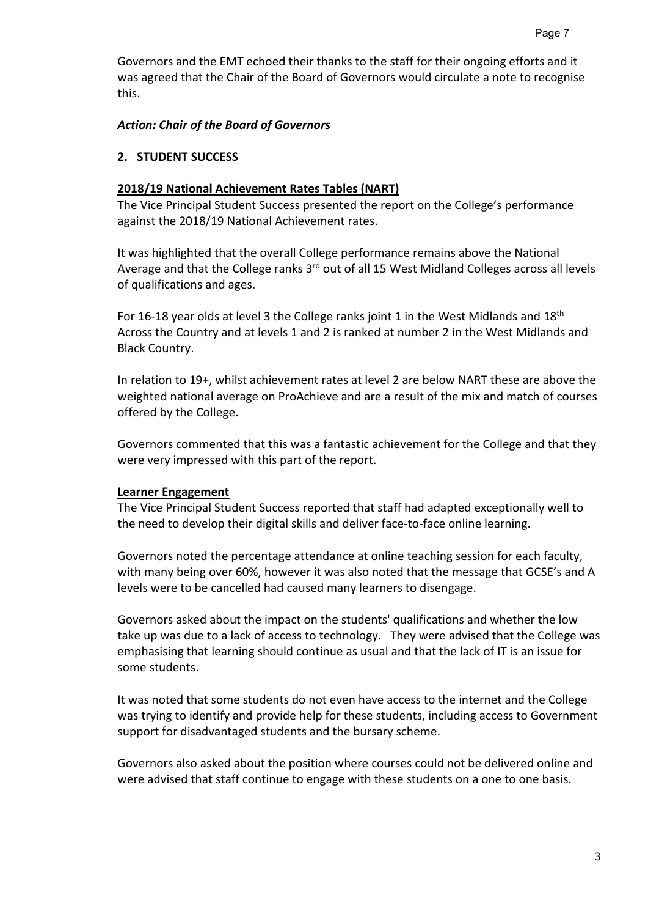Governors and the EMT echoed their thanks to the staff for their ongoing efforts and it was agreed that the Chair of the Board of Governors would circulate a note to recognise this.

# *Action: Chair of the Board of Governors*

# **2. STUDENT SUCCESS**

## **2018/19 National Achievement Rates Tables (NART)**

The Vice Principal Student Success presented the report on the College's performance against the 2018/19 National Achievement rates.

It was highlighted that the overall College performance remains above the National Average and that the College ranks 3rd out of all 15 West Midland Colleges across all levels of qualifications and ages.

For 16-18 year olds at level 3 the College ranks joint 1 in the West Midlands and  $18<sup>th</sup>$ Across the Country and at levels 1 and 2 is ranked at number 2 in the West Midlands and Black Country.

In relation to 19+, whilst achievement rates at level 2 are below NART these are above the weighted national average on ProAchieve and are a result of the mix and match of courses offered by the College.

Governors commented that this was a fantastic achievement for the College and that they were very impressed with this part of the report.

## **Learner Engagement**

The Vice Principal Student Success reported that staff had adapted exceptionally well to the need to develop their digital skills and deliver face-to-face online learning.

Governors noted the percentage attendance at online teaching session for each faculty, with many being over 60%, however it was also noted that the message that GCSE's and A levels were to be cancelled had caused many learners to disengage.

Governors asked about the impact on the students' qualifications and whether the low take up was due to a lack of access to technology. They were advised that the College was emphasising that learning should continue as usual and that the lack of IT is an issue for some students.

It was noted that some students do not even have access to the internet and the College was trying to identify and provide help for these students, including access to Government support for disadvantaged students and the bursary scheme.

Governors also asked about the position where courses could not be delivered online and were advised that staff continue to engage with these students on a one to one basis.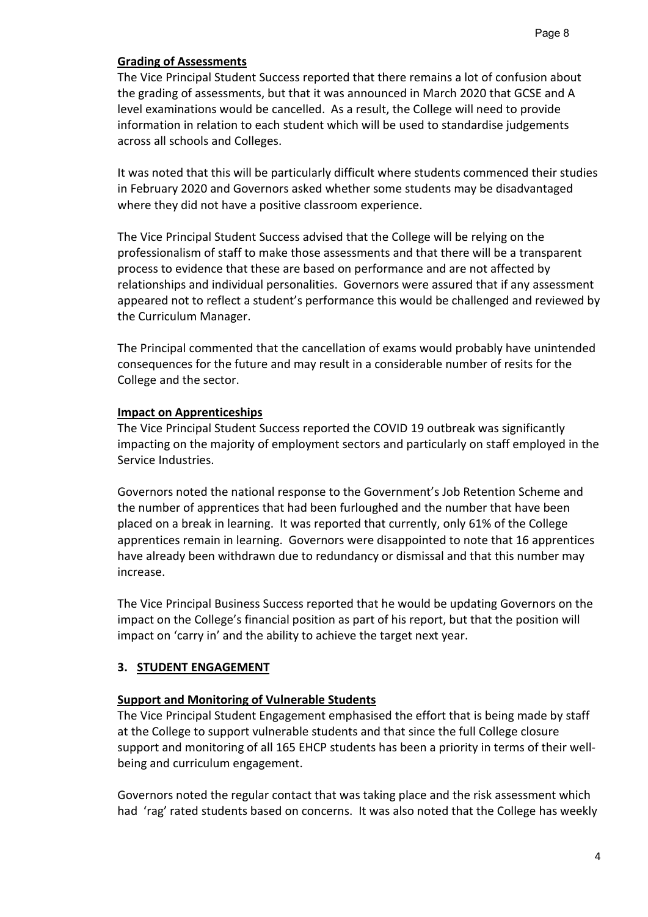# **Grading of Assessments**

The Vice Principal Student Success reported that there remains a lot of confusion about the grading of assessments, but that it was announced in March 2020 that GCSE and A level examinations would be cancelled. As a result, the College will need to provide information in relation to each student which will be used to standardise judgements across all schools and Colleges.

It was noted that this will be particularly difficult where students commenced their studies in February 2020 and Governors asked whether some students may be disadvantaged where they did not have a positive classroom experience.

The Vice Principal Student Success advised that the College will be relying on the professionalism of staff to make those assessments and that there will be a transparent process to evidence that these are based on performance and are not affected by relationships and individual personalities. Governors were assured that if any assessment appeared not to reflect a student's performance this would be challenged and reviewed by the Curriculum Manager.

The Principal commented that the cancellation of exams would probably have unintended consequences for the future and may result in a considerable number of resits for the College and the sector.

## **Impact on Apprenticeships**

The Vice Principal Student Success reported the COVID 19 outbreak was significantly impacting on the majority of employment sectors and particularly on staff employed in the Service Industries.

Governors noted the national response to the Government's Job Retention Scheme and the number of apprentices that had been furloughed and the number that have been placed on a break in learning. It was reported that currently, only 61% of the College apprentices remain in learning. Governors were disappointed to note that 16 apprentices have already been withdrawn due to redundancy or dismissal and that this number may increase.

The Vice Principal Business Success reported that he would be updating Governors on the impact on the College's financial position as part of his report, but that the position will impact on 'carry in' and the ability to achieve the target next year.

# **3. STUDENT ENGAGEMENT**

# **Support and Monitoring of Vulnerable Students**

The Vice Principal Student Engagement emphasised the effort that is being made by staff at the College to support vulnerable students and that since the full College closure support and monitoring of all 165 EHCP students has been a priority in terms of their wellbeing and curriculum engagement.

Governors noted the regular contact that was taking place and the risk assessment which had 'rag' rated students based on concerns. It was also noted that the College has weekly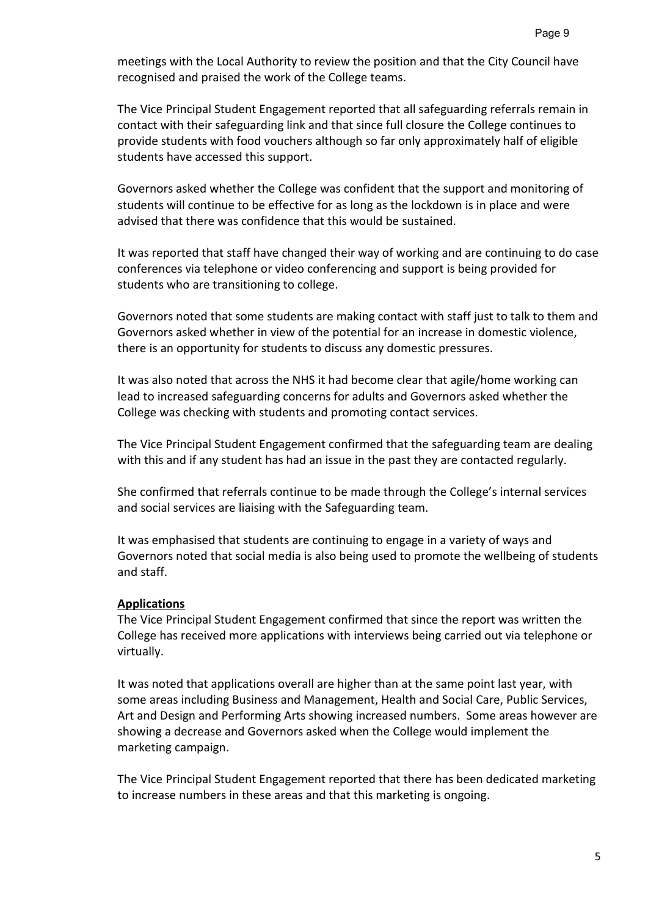meetings with the Local Authority to review the position and that the City Council have recognised and praised the work of the College teams.

The Vice Principal Student Engagement reported that all safeguarding referrals remain in contact with their safeguarding link and that since full closure the College continues to provide students with food vouchers although so far only approximately half of eligible students have accessed this support.

Governors asked whether the College was confident that the support and monitoring of students will continue to be effective for as long as the lockdown is in place and were advised that there was confidence that this would be sustained.

It was reported that staff have changed their way of working and are continuing to do case conferences via telephone or video conferencing and support is being provided for students who are transitioning to college.

Governors noted that some students are making contact with staff just to talk to them and Governors asked whether in view of the potential for an increase in domestic violence, there is an opportunity for students to discuss any domestic pressures.

It was also noted that across the NHS it had become clear that agile/home working can lead to increased safeguarding concerns for adults and Governors asked whether the College was checking with students and promoting contact services.

The Vice Principal Student Engagement confirmed that the safeguarding team are dealing with this and if any student has had an issue in the past they are contacted regularly.

She confirmed that referrals continue to be made through the College's internal services and social services are liaising with the Safeguarding team.

It was emphasised that students are continuing to engage in a variety of ways and Governors noted that social media is also being used to promote the wellbeing of students and staff.

# **Applications**

The Vice Principal Student Engagement confirmed that since the report was written the College has received more applications with interviews being carried out via telephone or virtually.

It was noted that applications overall are higher than at the same point last year, with some areas including Business and Management, Health and Social Care, Public Services, Art and Design and Performing Arts showing increased numbers. Some areas however are showing a decrease and Governors asked when the College would implement the marketing campaign.

The Vice Principal Student Engagement reported that there has been dedicated marketing to increase numbers in these areas and that this marketing is ongoing.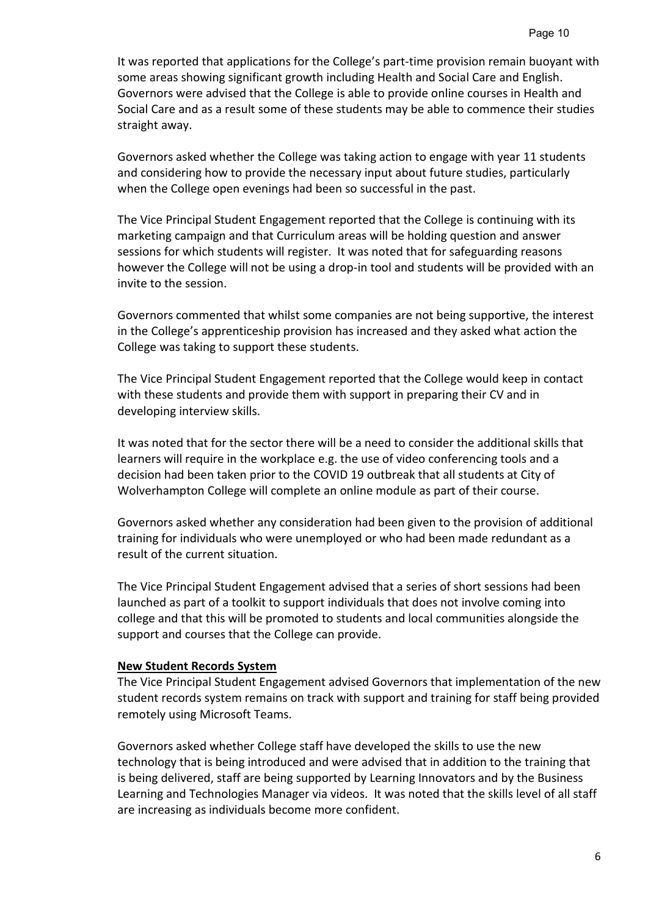It was reported that applications for the College's part-time provision remain buoyant with some areas showing significant growth including Health and Social Care and English. Governors were advised that the College is able to provide online courses in Health and Social Care and as a result some of these students may be able to commence their studies straight away.

Governors asked whether the College was taking action to engage with year 11 students and considering how to provide the necessary input about future studies, particularly when the College open evenings had been so successful in the past.

The Vice Principal Student Engagement reported that the College is continuing with its marketing campaign and that Curriculum areas will be holding question and answer sessions for which students will register. It was noted that for safeguarding reasons however the College will not be using a drop-in tool and students will be provided with an invite to the session.

Governors commented that whilst some companies are not being supportive, the interest in the College's apprenticeship provision has increased and they asked what action the College was taking to support these students.

The Vice Principal Student Engagement reported that the College would keep in contact with these students and provide them with support in preparing their CV and in developing interview skills.

It was noted that for the sector there will be a need to consider the additional skills that learners will require in the workplace e.g. the use of video conferencing tools and a decision had been taken prior to the COVID 19 outbreak that all students at City of Wolverhampton College will complete an online module as part of their course.

Governors asked whether any consideration had been given to the provision of additional training for individuals who were unemployed or who had been made redundant as a result of the current situation.

The Vice Principal Student Engagement advised that a series of short sessions had been launched as part of a toolkit to support individuals that does not involve coming into college and that this will be promoted to students and local communities alongside the support and courses that the College can provide.

## **New Student Records System**

The Vice Principal Student Engagement advised Governors that implementation of the new student records system remains on track with support and training for staff being provided remotely using Microsoft Teams.

Governors asked whether College staff have developed the skills to use the new technology that is being introduced and were advised that in addition to the training that is being delivered, staff are being supported by Learning Innovators and by the Business Learning and Technologies Manager via videos. It was noted that the skills level of all staff are increasing as individuals become more confident.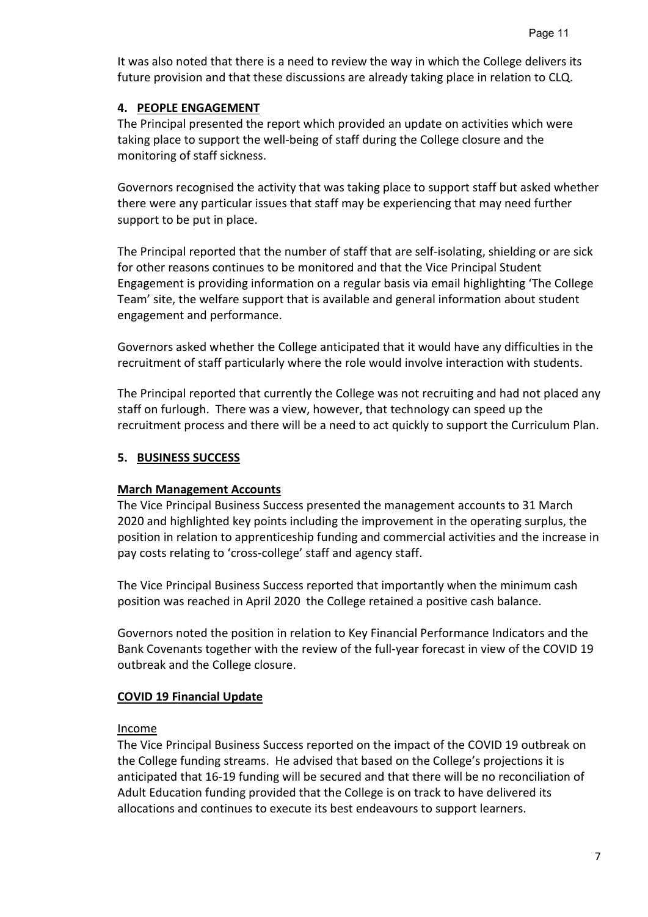It was also noted that there is a need to review the way in which the College delivers its future provision and that these discussions are already taking place in relation to CLQ.

# **4. PEOPLE ENGAGEMENT**

The Principal presented the report which provided an update on activities which were taking place to support the well-being of staff during the College closure and the monitoring of staff sickness.

Governors recognised the activity that was taking place to support staff but asked whether there were any particular issues that staff may be experiencing that may need further support to be put in place.

The Principal reported that the number of staff that are self-isolating, shielding or are sick for other reasons continues to be monitored and that the Vice Principal Student Engagement is providing information on a regular basis via email highlighting 'The College Team' site, the welfare support that is available and general information about student engagement and performance.

Governors asked whether the College anticipated that it would have any difficulties in the recruitment of staff particularly where the role would involve interaction with students.

The Principal reported that currently the College was not recruiting and had not placed any staff on furlough. There was a view, however, that technology can speed up the recruitment process and there will be a need to act quickly to support the Curriculum Plan.

# **5. BUSINESS SUCCESS**

# **March Management Accounts**

The Vice Principal Business Success presented the management accounts to 31 March 2020 and highlighted key points including the improvement in the operating surplus, the position in relation to apprenticeship funding and commercial activities and the increase in pay costs relating to 'cross-college' staff and agency staff.

The Vice Principal Business Success reported that importantly when the minimum cash position was reached in April 2020 the College retained a positive cash balance.

Governors noted the position in relation to Key Financial Performance Indicators and the Bank Covenants together with the review of the full-year forecast in view of the COVID 19 outbreak and the College closure.

# **COVID 19 Financial Update**

# Income

The Vice Principal Business Success reported on the impact of the COVID 19 outbreak on the College funding streams. He advised that based on the College's projections it is anticipated that 16-19 funding will be secured and that there will be no reconciliation of Adult Education funding provided that the College is on track to have delivered its allocations and continues to execute its best endeavours to support learners.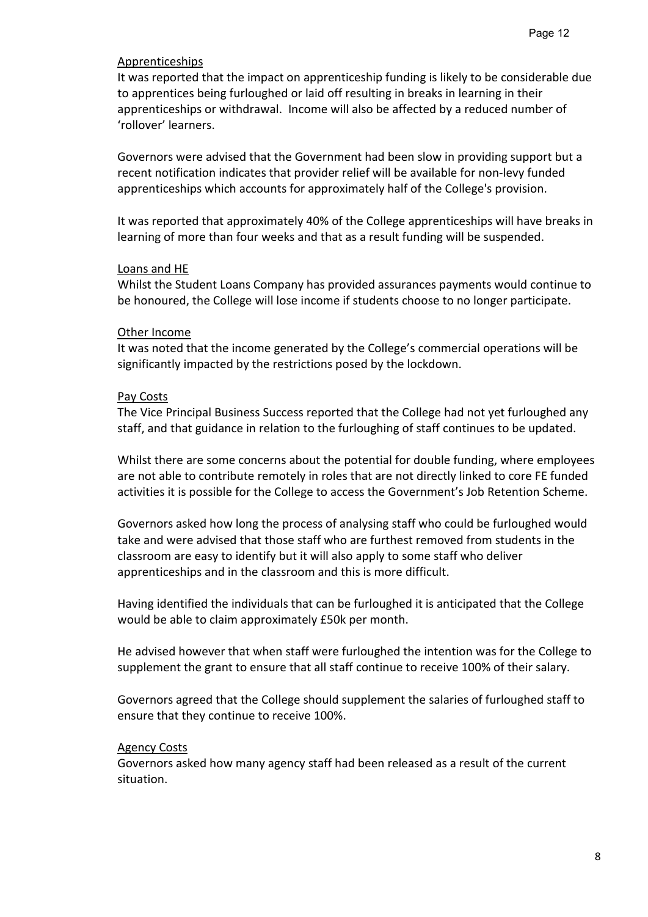## Apprenticeships

It was reported that the impact on apprenticeship funding is likely to be considerable due to apprentices being furloughed or laid off resulting in breaks in learning in their apprenticeships or withdrawal. Income will also be affected by a reduced number of 'rollover' learners.

Governors were advised that the Government had been slow in providing support but a recent notification indicates that provider relief will be available for non-levy funded apprenticeships which accounts for approximately half of the College's provision.

It was reported that approximately 40% of the College apprenticeships will have breaks in learning of more than four weeks and that as a result funding will be suspended.

#### Loans and HE

Whilst the Student Loans Company has provided assurances payments would continue to be honoured, the College will lose income if students choose to no longer participate.

#### Other Income

It was noted that the income generated by the College's commercial operations will be significantly impacted by the restrictions posed by the lockdown.

#### Pay Costs

The Vice Principal Business Success reported that the College had not yet furloughed any staff, and that guidance in relation to the furloughing of staff continues to be updated.

Whilst there are some concerns about the potential for double funding, where employees are not able to contribute remotely in roles that are not directly linked to core FE funded activities it is possible for the College to access the Government's Job Retention Scheme.

Governors asked how long the process of analysing staff who could be furloughed would take and were advised that those staff who are furthest removed from students in the classroom are easy to identify but it will also apply to some staff who deliver apprenticeships and in the classroom and this is more difficult.

Having identified the individuals that can be furloughed it is anticipated that the College would be able to claim approximately £50k per month.

He advised however that when staff were furloughed the intention was for the College to supplement the grant to ensure that all staff continue to receive 100% of their salary.

Governors agreed that the College should supplement the salaries of furloughed staff to ensure that they continue to receive 100%.

#### Agency Costs

Governors asked how many agency staff had been released as a result of the current situation.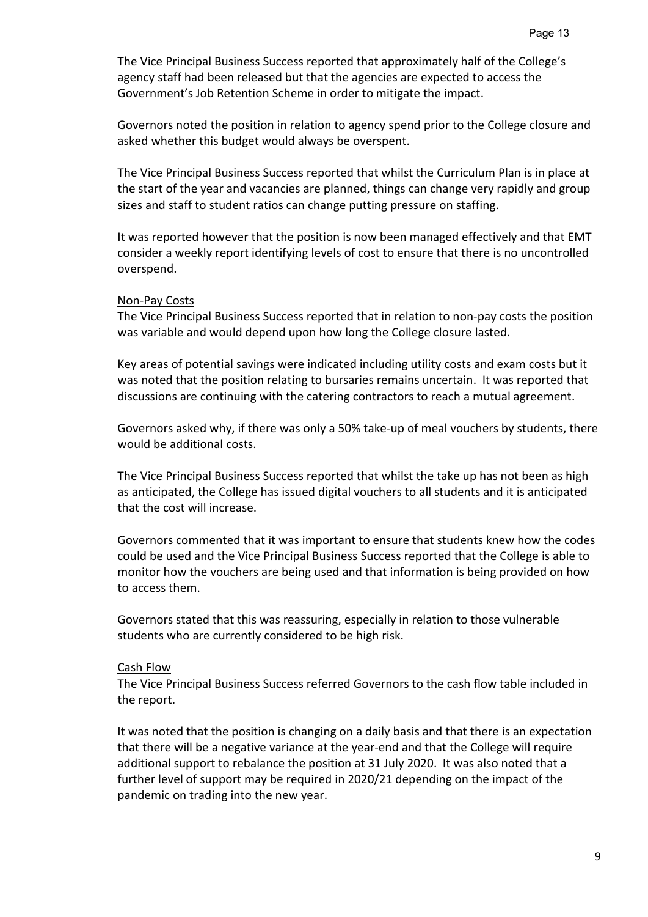The Vice Principal Business Success reported that approximately half of the College's agency staff had been released but that the agencies are expected to access the Government's Job Retention Scheme in order to mitigate the impact.

Governors noted the position in relation to agency spend prior to the College closure and asked whether this budget would always be overspent.

The Vice Principal Business Success reported that whilst the Curriculum Plan is in place at the start of the year and vacancies are planned, things can change very rapidly and group sizes and staff to student ratios can change putting pressure on staffing.

It was reported however that the position is now been managed effectively and that EMT consider a weekly report identifying levels of cost to ensure that there is no uncontrolled overspend.

#### Non-Pay Costs

The Vice Principal Business Success reported that in relation to non-pay costs the position was variable and would depend upon how long the College closure lasted.

Key areas of potential savings were indicated including utility costs and exam costs but it was noted that the position relating to bursaries remains uncertain. It was reported that discussions are continuing with the catering contractors to reach a mutual agreement.

Governors asked why, if there was only a 50% take-up of meal vouchers by students, there would be additional costs.

The Vice Principal Business Success reported that whilst the take up has not been as high as anticipated, the College has issued digital vouchers to all students and it is anticipated that the cost will increase.

Governors commented that it was important to ensure that students knew how the codes could be used and the Vice Principal Business Success reported that the College is able to monitor how the vouchers are being used and that information is being provided on how to access them.

Governors stated that this was reassuring, especially in relation to those vulnerable students who are currently considered to be high risk.

## Cash Flow

The Vice Principal Business Success referred Governors to the cash flow table included in the report.

It was noted that the position is changing on a daily basis and that there is an expectation that there will be a negative variance at the year-end and that the College will require additional support to rebalance the position at 31 July 2020. It was also noted that a further level of support may be required in 2020/21 depending on the impact of the pandemic on trading into the new year.